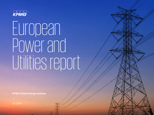

# European Power and Utilities report

**KPMG Global Energy Institute**

Q1 2019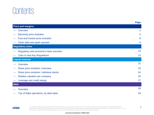### **Contents**

|     |                                          | <b>Page</b> |
|-----|------------------------------------------|-------------|
|     | <b>Price and margins</b>                 |             |
|     | Overview                                 | 3           |
|     | <b>Electricity price evolution</b>       | 4           |
|     | Fuel and Carbon price evolution          | 8           |
|     | Clean dark and spark spreads             | 9           |
|     | <b>Regulatory news</b>                   |             |
|     | Regulatory and economics news overview   | 10          |
|     | Links to new Key Regulations             | 13          |
|     | <b>Capital markets</b>                   |             |
|     | Overview                                 | 22          |
|     | Share price evolution: Overview          | 23          |
|     | Share price evolution: Individual stocks | 24          |
|     | Relative valuation per company           | 26          |
|     | Leverage and credit ratings              | 27          |
| M&A |                                          |             |
|     | Overview                                 | 28          |
|     | Top 15 M&A operations, by deal value     | 29          |

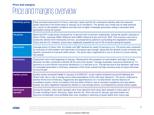#### **Price and margins** Price and margins overview

| <b>Electricity prices</b> | Peak and base load prices in France, Germany, Spain and the UK continued to decline after the seasonal<br>peaks observed in the fourth week of January up to mid March. The decline was mostly due to weak demand<br>as a result of mild weather conditions and also due to higher renewable generation owing to abundant wind<br>generation during the quarter                                                                                                                                                                                                          |
|---------------------------|--------------------------------------------------------------------------------------------------------------------------------------------------------------------------------------------------------------------------------------------------------------------------------------------------------------------------------------------------------------------------------------------------------------------------------------------------------------------------------------------------------------------------------------------------------------------------|
| <b>Oil prices</b>         | Brent and WTI crude prices increased by 13 percent and 12 percent, respectively, during the quarter (January to<br>March 2019), reaching US\$67.58/barrel and US\$60.14/barrel at the end of Q1 2019. The oil prices rose due to<br>production decline from Venezuela and Iran, accompanied by optimism surrounding the negotiations between<br>China and the US. However, prices were negatively impacted by rise of US oil stocks during the quarter                                                                                                                   |
| <b>Gas prices</b>         | Average prices of Henry Hub, EU border and NBP declined by nearly 25 percent q-o-q. The prices were impacted<br>by forecasts of mild weather and high levels of European gas storage, along with the decline of spot contracts and<br>bearish movement of coal and carbon prices. The prices were supported by a rise in oil and $CO2$ prices during<br>the quarter                                                                                                                                                                                                      |
| <b>Coal prices</b>        | Coal prices rose in the beginning of January, influenced by the prospects of cold weather and signs of rising<br>demand, but later continued to decline till the end of the quarter. Average Australian coal prices declined by 7.6<br>percent q-o-q and African coal prices declined by 11.5 percent q-o-q. The fall was due to low demand, high level<br>of renewable generation in Germany, weakness of the Asian market and high inventory level at import terminals<br>across Europe                                                                                |
| <b>Carbon prices</b>      | Carbon prices increased initially in January to EUR25.0/T, as the market sentiment recovered following the<br>'Brexit vote' due to rise in energy prices amid expectations of the cold wave hitting EU. The prices continued to<br>decline till the end of February, triggered by the apprehensions of a 'no-deal Brexit' and the absence of<br>compliance buyers. Prices increased in the first week of March, due to renewed compliance and speculative<br>buying, but were negatively impacted by decline in coal and gas prices, accompanied by strong market supply |
| Dark/spark<br>spreads     | During the quarter, clean spark spreads were more attractive than clean dark spreads in many parts of<br>Europe including France, Germany, Spain and the UK. Since the end of January, gas-fired power has<br>become considerably more profitable than coal, resulting in switching of power plants from coal to gas                                                                                                                                                                                                                                                     |

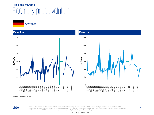### **Price and margins** Electricity price evolution

**Germany**



Source: Reuters, 2019.

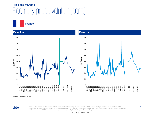### **Price and margins** Electricity price evolution (cont.)

**France**



Source: Reuters, 2019.

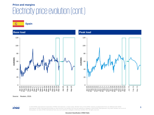### **Price and margins** Electricity price evolution (cont.)

**Spain**



Source: Reuters, 2019.



6 © 2019 KPMG International Cooperative ("KPMG International"), a Swiss entity. Member firms of the KPMG network of independent firms are affiliated with KPMG International. KPMG International provides no client services. No member firm has any authority to obligate or bind KPMG International or any other member firm vis-à-vis third parties, nor does KPMG International have any such authority to obligate or bind any member firm. All rights reserved.

**Document Classification: KPMG Public**

Jan-19

Feb-19 Mar-19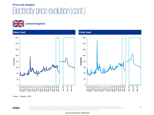### **Price and margins** Electricity price evolution (cont.)





Source: Reuters, 2019.

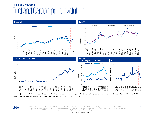### **Price and margins** Fuel and Carbon price evolution



Note: (a) The World Bank has not published the Colombian coal prices since Q3 2018 – therefore the prices are not available for the period July 2018 to March 2019. Source: World Bank commodities price data (The Pink Sheet), 1 July 2019; Reuters, 2019.

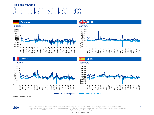#### **Price and margins** Clean dark and spark spreads









Source: Reuters, 2019.

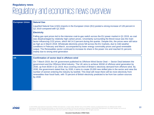#### **Regulatory news** Regulatory and economics news overview

| <b>European Union</b> | <b>Natural Gas</b>                                                                                                                                                                                                                                                                                                                                                                                                                                                                                                                                                                                                                                                                                                   |
|-----------------------|----------------------------------------------------------------------------------------------------------------------------------------------------------------------------------------------------------------------------------------------------------------------------------------------------------------------------------------------------------------------------------------------------------------------------------------------------------------------------------------------------------------------------------------------------------------------------------------------------------------------------------------------------------------------------------------------------------------------|
|                       | Liquefied Natural Gas (LNG) imports in the European Union (EU) posted a strong increase of 126 percent in<br>Q1 2019 compared with Q1 2018                                                                                                                                                                                                                                                                                                                                                                                                                                                                                                                                                                           |
|                       | <b>Electricity</b>                                                                                                                                                                                                                                                                                                                                                                                                                                                                                                                                                                                                                                                                                                   |
|                       | Falling gas spot prices led to the intensive coal-to-gas switch across the EU power market in Q1 2019, as coal<br>was disadvantaged by relatively high carbon prices. Uncertainty surrounding the Brexit issue was the main<br>factor influencing CO2 prices, which fell 14.3 percent during the quarter. Despite this, the prices were still twice<br>as high as in March 2018. Wholesale electricity prices fell across the EU markets, due to mild weather<br>conditions in February and March, accompanied by lower energy commodity prices and good renewable<br>output. The Renewables sector continued to increase its share in the power mix and reached 31 percent,<br>mainly due to strong wind generation |
| <b>UK</b>             | Confirmation of sector deal in offshore wind                                                                                                                                                                                                                                                                                                                                                                                                                                                                                                                                                                                                                                                                         |
|                       | On 7 March 2019, the UK government published its Offshore Wind Sector Deal — Sector Deal between the<br>government and the Offshore Wind industry. The UK aims to achieve 30GW of offshore wind generation by<br>2030, up from 8GW in Q1 2019, thus covering one-third of Britain's electricity demand from offshore wind. By<br>2030, the government stated that, by 2030, it aims to create 20,000 new skilled jobs in the sector and raise the<br>number of women entering the industry by twofold. This Deal will mean there will be more electricity from<br>renewables than fossil fuels, with 70 percent of British electricity predicted to be from low carbon sources<br>by 2030                            |

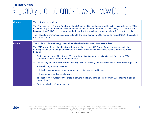### **Regulatory news** Regulatory and economics news overview (cont.)

| <b>Germany</b> | The entry in the coal exit                                                                                                                                                                                                                                                                                                              |  |  |
|----------------|-----------------------------------------------------------------------------------------------------------------------------------------------------------------------------------------------------------------------------------------------------------------------------------------------------------------------------------------|--|--|
|                | The Commission on Growth, Employment and Structural Change has decided to exit from coal, latest by 2038.<br>On 31 January 2019, the commission presented the final report to the Federal Chancellery. The Commission<br>has agreed on EUR40 billion support for the federal states, which are expected to be affected by the coal exit |  |  |
|                | The Federal government passed a regulation for the development of LNG (Liquefied Natural Gas) infrastructure<br>on 27 March 2019                                                                                                                                                                                                        |  |  |
| <b>France</b>  | The project 'Climate Energy' passed as a law by the House of Representatives                                                                                                                                                                                                                                                            |  |  |
|                | The 2019 law reinforces the objectives already in place in the 2015 Energy Transition law, which is the<br>founding regulation for energy and climate. Following are its main objectives to achieve carbon neutrality<br>by 2050:                                                                                                       |  |  |
|                | Reducing the share of fossil fuels: The new target is 40 percent reduction in fossil fuel use by 2030,<br>compared with the former 30 percent target.                                                                                                                                                                                   |  |  |
|                | Eliminating the 'thermal colanders' (buildings with poor energy performance) with a three-phase approach:                                                                                                                                                                                                                               |  |  |
|                | - Developing existing subsidies                                                                                                                                                                                                                                                                                                         |  |  |
|                | - Introducing compulsory improvements by building owners and tenants                                                                                                                                                                                                                                                                    |  |  |
|                | - Implementing binding mechanisms                                                                                                                                                                                                                                                                                                       |  |  |
|                | The reduction of nuclear power share in power production, down to 50 percent by 2035 instead of earlier<br>target of 2025                                                                                                                                                                                                               |  |  |
|                | Better monitoring of energy prices                                                                                                                                                                                                                                                                                                      |  |  |

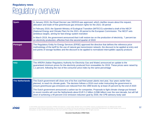### **Regulatory news** Regulatory overview

| <b>Spain</b>           | In January 2019, the Royal Decree Law 18/2019 was approved, which clarifies issues about the request,<br>allocation and trade of free greenhouse gas emission rights for the 2021-30 period                                                                                                                                                      |  |  |
|------------------------|--------------------------------------------------------------------------------------------------------------------------------------------------------------------------------------------------------------------------------------------------------------------------------------------------------------------------------------------------|--|--|
|                        | In February 2019, the Spanish Ministry of Ecological Transition (MITECO) submitted a draft of the NECP<br>(National Energy and Climate Plan) for the 2021-30 period to the European Commission. The NECP sets<br>ambitious targets, aiming for fast energy system transition                                                                     |  |  |
|                        | In March 2019, the government announced that it will restore tax on the production of electricity, 7 percent tax<br>on electricity production, effective from the second quarter of 2019                                                                                                                                                         |  |  |
| <b>Portugal</b>        | The Regulatory Entity for Energy Services (ERSE) approved the directive that defines the reference price<br>methodology of the tariff for the use of natural gas transmission network, the discount to be applied at entry and<br>exit points of storage facilities and the discount to be applied to normalized interruptible capacity products |  |  |
| <b>Italy</b>           | The ARERA (Italian Regulatory Authority for Electricity Gas and Water) announced an update to the<br>guaranteed minimum prices for the electricity produced from renewables for 2019. These prices were raised by<br>1.1 percent, following the rise of the consumer price index by the same percentage                                          |  |  |
| <b>The Netherlands</b> | The Dutch government will close one of its five coal-fired power plants next year, four years earlier than<br>planned, to reach its climate goals. The decision follows a 2018 court order instructing the government to<br>ensure greenhouse gas emissions are reduced from the 1990 levels by at least 25 percent by the end of 2020           |  |  |
|                        | The Dutch government announced a carbon tax for companies. Proposals to fight climate change put forward<br>in recent months will cost the Netherlands about EUR 5.2 billion (US\$6 billion) over the next decade, but will fall<br>short of achieving a 49 percent CO2 emission reduction goal by 2030, the CPB advisory body said              |  |  |

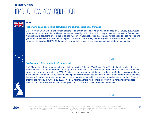| <b>News</b>                                                                                                                                                                                                                                                                                                                                                                                                                                                                                                                                                                                                                                                                                                                                                                                                                                                          |         |  |
|----------------------------------------------------------------------------------------------------------------------------------------------------------------------------------------------------------------------------------------------------------------------------------------------------------------------------------------------------------------------------------------------------------------------------------------------------------------------------------------------------------------------------------------------------------------------------------------------------------------------------------------------------------------------------------------------------------------------------------------------------------------------------------------------------------------------------------------------------------------------|---------|--|
| Higher wholesale costs raise default and pre-payment price caps from April                                                                                                                                                                                                                                                                                                                                                                                                                                                                                                                                                                                                                                                                                                                                                                                           |         |  |
| On 7 February 2019, Ofgem announced that the retail energy price cap, which was introduced on 1 January 2019, would<br>be increased from 1 April 2019. The price cap was raised by GBP117 to GBP1,254 per year, April onward. Ofgem uses a<br>methodology to adjust the level of the price cap twice every year, reflecting its estimates for the costs to supply power and<br>gas to customers over the next six-month period. Analysis conducted by Ofgem suggests that default tariff customers<br>would pay an average GBP75-100 more per year on their energy bills if the price cap had not been put in place                                                                                                                                                                                                                                                  |         |  |
|                                                                                                                                                                                                                                                                                                                                                                                                                                                                                                                                                                                                                                                                                                                                                                                                                                                                      | Link I  |  |
| <b>Confirmation of sector deal in offshore wind</b>                                                                                                                                                                                                                                                                                                                                                                                                                                                                                                                                                                                                                                                                                                                                                                                                                  |         |  |
| On 7 March, the UK government published its long awaited Offshore Wind Sector Deal. The deal reaffirms the UK's aim<br>to achieve 30GW of offshore wind by 2030, up from 8GW in 2019. This would mean about one-third of Britain's electricity<br>would come from offshore wind by 2030. This increase in deployment will be delivered through further auction rounds for<br>'Contracts for Difference' (CfDs), which have helped deliver dramatic reductions in the cost of offshore wind over the past<br>five years. By 2030, the government aims to create 20,000 new skilled jobs in the sector and raise the number of women<br>entering the industry by twofold by 2030. This deal will mean there will be more electricity from renewables than fossil<br>fuels, with 70 percent of electricity in Britain predicted to come from low carbon sources by 2030 |         |  |
|                                                                                                                                                                                                                                                                                                                                                                                                                                                                                                                                                                                                                                                                                                                                                                                                                                                                      | Link II |  |

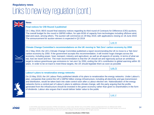$\leq$ **News Final notices for CfD Round 3 published** On 1 May 2019, BEIS issued final statutory notices regarding its third round of Contracts for Difference (CfD) auctions. The overall budget for the round is GBP65 million, for upto 6GW of capacity from technologies including offshore wind, tidal and wave, among others. The auction will commence on 29 May 2019, with applications closing on 18 June 2019. The announcement for auction winners is expected in Q3 2019 [Link III](https://www.gov.uk/government/publications/contracts-for-difference-cfd-allocation-round-3-statutory-notices) **Climate Change Committee's recommendations on the UK moving to 'Net Zero' carbon economy by 2050** On 2 May 2019, the UK's Climate Change Committee published a report recommending the UK to move to a 'Net Zero' carbon economy by 2050. If the government accepts this recommendation, it will involve huge changes across the economy, including power, heat, transport, industry and agriculture; as well as all aspects of society, in terms of what we eat, how we travel and live. The main recommendation is that the UK should set and vigorously pursue an ambitious target to reduce greenhouse gas emissions to 'net-zero' by 2050, ending the UK's contribution to global warming within 30 years. In order to be on track to meet these targets, the UK should legislate them as soon as possible [Link IV](https://www.theccc.org.uk/wp-content/uploads/2019/05/Net-Zero-The-UKs-contribution-to-stopping-global-warming.pdf) **Labour's plans to renationalize energy networks**  On 15 May 2019, the UK Labour Party published details of its plans to renationalize the energy networks. Under Labour's plan, companies that control the UK's GBP62 billion energy infrastructure, including all electricity and gas transmission and distribution, would be taken back into state control soon after a Labour election win. Nationalization of the energy networks forms a central part of Labour's plans to address climate change, with the party arguing that the profits generated from the infrastructure should be invested in the green economy rather than given to shareholders in the form of dividends. Labour also argues that it would deliver better value to the public [Link V](https://www.labour.org.uk/wp-content/uploads/2019/03/Bringing-Energy-Home-2019.pdf)

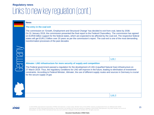|  | <b>News</b>                                                                                                                                                                                                                                                                                                                                                                                                                                                                                                                                  |         |
|--|----------------------------------------------------------------------------------------------------------------------------------------------------------------------------------------------------------------------------------------------------------------------------------------------------------------------------------------------------------------------------------------------------------------------------------------------------------------------------------------------------------------------------------------------|---------|
|  |                                                                                                                                                                                                                                                                                                                                                                                                                                                                                                                                              |         |
|  | The commission on 'Growth, Employment and Structural Change' has decided to exit from coal, latest by 2038.<br>On 31 January 2019, the commission presented the final report to the Federal Chancellery. The commission has agreed<br>on EUR40 billion support for the federal states, which are expected to be affected by the coal exit. The respective federal<br>states will get EUR1.3 billion over 20 years as per the commission's report. The coal exit is one of the most demanding<br>transformation processes of the past decades |         |
|  |                                                                                                                                                                                                                                                                                                                                                                                                                                                                                                                                              | Link I  |
|  | Altmaier: LNG infrastructure for more security of supply and competition                                                                                                                                                                                                                                                                                                                                                                                                                                                                     |         |
|  | The Federal government passed a regulation for the development of LNG (Liquefied Natural Gas) infrastructure on<br>27 March 2019. Thus, the regulatory conditions for LNG will improve in the future, leading to elimination of investment<br>constraints. According to Federal Minister, Altmaier, the use of different supply routes and sources in Germany is crucial<br>for the secure supply of gas                                                                                                                                     |         |
|  |                                                                                                                                                                                                                                                                                                                                                                                                                                                                                                                                              |         |
|  |                                                                                                                                                                                                                                                                                                                                                                                                                                                                                                                                              | Link II |

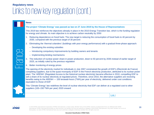|                | <b>News</b> |                                                                                                                                                                                                                                                                                                                                                                                                                                                                                                                                                                                                                                                                      |  |
|----------------|-------------|----------------------------------------------------------------------------------------------------------------------------------------------------------------------------------------------------------------------------------------------------------------------------------------------------------------------------------------------------------------------------------------------------------------------------------------------------------------------------------------------------------------------------------------------------------------------------------------------------------------------------------------------------------------------|--|
|                |             | The project 'Climate Energy' was passed as law on 27 June 2019 by the House of Representatives                                                                                                                                                                                                                                                                                                                                                                                                                                                                                                                                                                       |  |
|                |             | This 2019 law reinforces the objectives already in place in the 2015 Energy Transition law, which is the funding regulation<br>for energy and climate. Its main objective is to achieve carbon neutrality by 2050                                                                                                                                                                                                                                                                                                                                                                                                                                                    |  |
|                |             | 1. Reducing dependence on fossil fuels: The new target is reducing the consumption of fossil fuels to 40 percent by<br>2030, compared with the previous target of 30 percent                                                                                                                                                                                                                                                                                                                                                                                                                                                                                         |  |
|                | 2.          | Eliminating the 'thermal colanders' (buildings with poor energy performance) with a gradual three-phase approach:                                                                                                                                                                                                                                                                                                                                                                                                                                                                                                                                                    |  |
|                |             | - Developing the existing subsidies                                                                                                                                                                                                                                                                                                                                                                                                                                                                                                                                                                                                                                  |  |
|                |             | - Introducing compulsory improvements by building owners and tenants                                                                                                                                                                                                                                                                                                                                                                                                                                                                                                                                                                                                 |  |
| E              |             | - Implementing binding mechanisms                                                                                                                                                                                                                                                                                                                                                                                                                                                                                                                                                                                                                                    |  |
| $\blacksquare$ |             | The reduction of nuclear power share in power production, down to 50 percent by 2035 instead of earlier target of<br>2025, as initially ruled by the previous regulation                                                                                                                                                                                                                                                                                                                                                                                                                                                                                             |  |
|                |             | 4. Better monitoring of energy prices                                                                                                                                                                                                                                                                                                                                                                                                                                                                                                                                                                                                                                |  |
|                |             | The opening of the electricity market for individuals in July 2007 constrained the growth of EDF's (Électricité de France)<br>competing suppliers, due to the quasi-monopoly of EDF in the French electricity production, attributed to its nuclear power<br>plant. The 'ARENH' (Regulated Access to the historical nuclear electricity) became effective in 2010, compelling EDF to<br>sell a share of its nuclear electricity at regulated prices. Therefore, since 2010, the alternative suppliers are receiving<br>benefits owing to the ARENH - 100 terawatt-hours (TWh) per year of electricity, delivered under cost conditions<br>equivalent to those of EDF |  |
|                |             | This 'Climate Energy' law redefines the level of nuclear electricity that EDF can deliver at a regulated cost to other<br>suppliers (100-150 TWh per year) 2020 onward                                                                                                                                                                                                                                                                                                                                                                                                                                                                                               |  |

[Link I](https://www.euro-petrole.com/adoption-du-projet-de-loi-energie-climat-vers-la-neutralite-carbone-en-2050-n-f-18997)

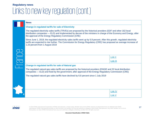|  | <b>News</b>                                                                                                                                                                                                                                                                                        |          |  |
|--|----------------------------------------------------------------------------------------------------------------------------------------------------------------------------------------------------------------------------------------------------------------------------------------------------|----------|--|
|  |                                                                                                                                                                                                                                                                                                    |          |  |
|  | The regulated electricity sales tariffs (TRVEs) are proposed by the historical providers (EDF and other 162 local<br>distribution companies - ELD) and implemented by decree of the ministers in charge of the Economy and Energy, after<br>the approval of the Energy Regulatory Commission (CRE) |          |  |
|  | Since June 1, 2019, the regulated electricity sales tariffs went up by 5.9 percent. After this growth, regulated electricity<br>tariffs are expected to rise further. The Commission for Energy Regulatory (CRE) has proposed an average increase of<br>1.23 percent from 1 August 2019            |          |  |
|  |                                                                                                                                                                                                                                                                                                    |          |  |
|  |                                                                                                                                                                                                                                                                                                    | Link II  |  |
|  |                                                                                                                                                                                                                                                                                                    | Link III |  |
|  | <b>Change in regulated tariffs for sale of Natural gas</b>                                                                                                                                                                                                                                         |          |  |
|  | The regulated natural gas sales tariffs are proposed by the historical providers (ENGIE and 22 local distribution<br>companies — ELD) and fixed by the government, after approval of the Energy Regulatory Commission (CRE)                                                                        |          |  |
|  | The regulated natural gas sales tariffs have declined by 6.8 percent since 1 July 2019                                                                                                                                                                                                             |          |  |
|  |                                                                                                                                                                                                                                                                                                    |          |  |
|  |                                                                                                                                                                                                                                                                                                    |          |  |
|  |                                                                                                                                                                                                                                                                                                    |          |  |
|  |                                                                                                                                                                                                                                                                                                    | Link IV  |  |
|  |                                                                                                                                                                                                                                                                                                    | Link V   |  |

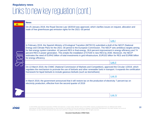| <b>News</b>                                                                                                                                                                                                                                                                                                                                                                                                                                                                                                                                                                                                                              |                |
|------------------------------------------------------------------------------------------------------------------------------------------------------------------------------------------------------------------------------------------------------------------------------------------------------------------------------------------------------------------------------------------------------------------------------------------------------------------------------------------------------------------------------------------------------------------------------------------------------------------------------------------|----------------|
| On 25 January 2019, the Royal Decree Law 18/2019 was approved, which clarifies issues on request, allocation and<br>trade of free greenhouse gas emission rights for the 2021-30 period                                                                                                                                                                                                                                                                                                                                                                                                                                                  |                |
|                                                                                                                                                                                                                                                                                                                                                                                                                                                                                                                                                                                                                                          | Link I         |
| In February 2019, the Spanish Ministry of Ecological Transition (MITECO) submitted a draft of the NECP (National<br>Energy and Climate Plan) for the 2021-30 period to the European Commission. The NECP sets ambitious targets aiming<br>for fast energy system transition: 42 percent RES in final energy, 39.6 percent improvement in energy efficiency and 74<br>percent RES in power generation. This entails the installation of 57GW in new RES by 2030. Moreover, the NECP<br>estimates the need of EUR42 billion of total investments in grid infrastructure, EUR102 billion for RES and EUR86 billion<br>for energy efficiency |                |
|                                                                                                                                                                                                                                                                                                                                                                                                                                                                                                                                                                                                                                          | Link II        |
| On 13 March 2019, the CNMC (National Commission of Markets and Competition), approved the Circular 1/2019, which<br>regulates the mechanism to promote the use of biofuels and other renewable fuels in transport. It expands the certification<br>framework for liquid biofuels to include gaseous biofuels (such as biomethane)                                                                                                                                                                                                                                                                                                        |                |
|                                                                                                                                                                                                                                                                                                                                                                                                                                                                                                                                                                                                                                          | Link III       |
| In March 2019, the government announced that it will restore tax on the production of electricity 7 percent tax on<br>electricity production, effective from the second quarter of 2019                                                                                                                                                                                                                                                                                                                                                                                                                                                  |                |
|                                                                                                                                                                                                                                                                                                                                                                                                                                                                                                                                                                                                                                          | <b>Link IV</b> |

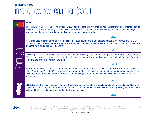| <b>News</b>                                                                                                                                                                                                                                                                                                                                                                                    |          |  |
|------------------------------------------------------------------------------------------------------------------------------------------------------------------------------------------------------------------------------------------------------------------------------------------------------------------------------------------------------------------------------------------------|----------|--|
| The Regulatory Entity for Energy Services (ERSE) approved the directive that defines the reference price methodology of<br>the tariff for the use of natural gas transmission network, the discount to be applied at entry and exit points of storage<br>facilities and also to be applied on normalized interruptible capacity products                                                       |          |  |
|                                                                                                                                                                                                                                                                                                                                                                                                | Link I   |  |
| New ordinance referring to the tariff for installation of over-equipment, states that the consultation charges of ERSE are<br>waived off if the over-equipped electro producer explicitly chooses to apply for a tariff of EUR45/MWh (not accounted from<br>inflation), for a single period of 15 years                                                                                        |          |  |
|                                                                                                                                                                                                                                                                                                                                                                                                | Link II  |  |
| Following the CELE (Comércio Europeu de Licenças de Emissão) Directive, the Portuguese government established that<br>60 percent revenues generated from emission allowance auctions should be allocated to the National Electrical System,<br>to deduct the system's overall usage tariff                                                                                                     |          |  |
|                                                                                                                                                                                                                                                                                                                                                                                                | Link III |  |
| In order to ensure the balance of competition and reduce impact of distortions due to events external to market, the office<br>of the Secretary of State for Energy updated the parameter that adjusts the impact of extra market measures and events<br>registered in the framework of the European Union, affecting the average prices of electricity in the wholesale market<br>in Portugal |          |  |
|                                                                                                                                                                                                                                                                                                                                                                                                | Link IV  |  |
| ERSE (Energy Services Regulatory Authority) approved the consumption, production and self-consumption profiles to be<br>applicable in 2019, and also determined the adoption of the consumption profile in Medium Voltage (MV) and Special Low<br>Voltage (SLV) installations not included in the telemetry system                                                                             |          |  |
|                                                                                                                                                                                                                                                                                                                                                                                                | Link V   |  |

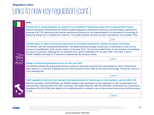| <b>News</b>                                                                                                                                                                                                                                                                                                                                                                                                                                                                                                                                                                 |          |
|-----------------------------------------------------------------------------------------------------------------------------------------------------------------------------------------------------------------------------------------------------------------------------------------------------------------------------------------------------------------------------------------------------------------------------------------------------------------------------------------------------------------------------------------------------------------------------|----------|
| Framework for implementation of a platform for exchange of balancing energy from a replacement reserve<br>With the Resolution 8/2019/R/eel, the ARERA (Italian Regulatory Authority for Electricity Gas and Water) approved the<br>proposal of all TSO performing the reserve replacement process for the implementation of a framework for exchange of<br>balancing energy from a replacement reserves. The implementation process has been entrusted to Terna (Italian TSO)                                                                                               |          |
|                                                                                                                                                                                                                                                                                                                                                                                                                                                                                                                                                                             | Link I   |
| Determination of value of electricity sales price to formulate incentives to replace the green certificates<br>The ARERA, with the resolution16/2019/R/efr, has determined the average cession price of electricity in 2018, for the<br>purpose of quantification of the cession value, for the year 2019. This provision determines, for the purpose of quantifying<br>the value of incentives replacing the 'ex certificati verdi' (green certificates) for the year 2019. This value is set to<br>EUR61.91/MWh (increase of 17 percent compared with the previous value) |          |
|                                                                                                                                                                                                                                                                                                                                                                                                                                                                                                                                                                             | Link II  |
| Update of minimum guaranteed prices for the year 2019<br>The ARERA updated the guaranteed minimum prices for electricity produced from renewables for 2019. These prices<br>were raised by 1.1 percent, following the rise of the Consumer Price Index by the same percentage. The list per source is<br>in the following link                                                                                                                                                                                                                                              |          |
|                                                                                                                                                                                                                                                                                                                                                                                                                                                                                                                                                                             | Link III |
| Tariff regulation criteria for the transport and measurement of natural gas for the regulatory period (2020–23)<br>With the resolution 114/2019/R/gas, the ARERA adopted new parameters for the regulation of LNG transportation and                                                                                                                                                                                                                                                                                                                                        |          |
| measurement, effective within the 2020–23 period. The Italian Authority, with this resolution, implements the Commission<br>Regulation (EU) 2017/460 with regard to the establishment of a network code on harmonized transmission tariff structures<br>for gas                                                                                                                                                                                                                                                                                                             |          |
|                                                                                                                                                                                                                                                                                                                                                                                                                                                                                                                                                                             | Link IV  |

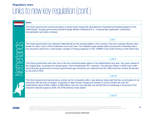|            | <b>News</b>                                                                                                                                                                                                                                                                                                                                                                                                                               |          |
|------------|-------------------------------------------------------------------------------------------------------------------------------------------------------------------------------------------------------------------------------------------------------------------------------------------------------------------------------------------------------------------------------------------------------------------------------------------|----------|
|            | The Dutch government announced plans to direct funds toward the development of geothermal heating projects in the<br>Netherlands, through government-owned Energie Beheer Nederland B.V., a natural gas exploration, production,<br>transportation and sales company                                                                                                                                                                      |          |
|            |                                                                                                                                                                                                                                                                                                                                                                                                                                           | Link I   |
|            | The Dutch government has selected Vattenfall AB as the winning bidder in the country's first zero-subsidy offshore wind<br>tender for sites I and II of the Hollandse Kust Zuid zone. The Swedish state-owned utility announced on Monday that it<br>has secured a permit for a wind power complex of having capacity of 700–750MW in the Dutch territory of the North Sea                                                                |          |
|            |                                                                                                                                                                                                                                                                                                                                                                                                                                           | Link II  |
| Netherland | The Dutch government will close one of the five coal-fired power plants in the Netherlands next year, four years ahead of<br>the original plan, to achieve its climate goals, Dutch broadcaster RTL reported. The decision follows a 2018 court order<br>instructing the government to ensure greenhouse gas emissions are reduced from the 1990 levels by at least 25 percent<br>by the end of 2020                                      |          |
|            |                                                                                                                                                                                                                                                                                                                                                                                                                                           | Link III |
|            | The Dutch government announced a carbon tax for companies after a top advisory body said that the current plans to cut<br>emissions will fall short of targets. Proposals to fight climate change put forward in recent months will cost the<br>Netherlands about EUR5.2 billion (US\$6 billion) over the next decade, but will fall short of achieving a 49 percent CO2<br>emission reduction goal by 2030, the CPB advisory body stated |          |
|            |                                                                                                                                                                                                                                                                                                                                                                                                                                           |          |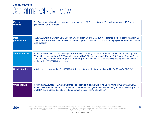### **Capital markets**  Capital markets overview

| <b>Eurostoxx</b><br><b>Utilities</b> | The Eurostoxx Utilities index increased by an average of 8.9 percent q-o-q. The index cumulated 10.2 percent<br>gains in the last 12 months                                                                                                                                                                                                                                          |
|--------------------------------------|--------------------------------------------------------------------------------------------------------------------------------------------------------------------------------------------------------------------------------------------------------------------------------------------------------------------------------------------------------------------------------------|
| <b>Best</b><br>performance           | RWE AG, Enel SpA, Snam SpA, Endesa SA, Iberdrola SA and ENGIE SA registered the best performance in Q1<br>2019, in terms of share price behavior. During this period, 15 of the top 18 European players experienced positive<br>price evolution                                                                                                                                      |
| <b>Valutation levels</b>             | Valuation levels in the sector averaged at 8.5 EV/EBITDA in Q1 2019, 10.4 percent above the previous quarter.<br>Wide differences persist in EBITDA multiples, with RWE Aktiengesellschaft, Fortum Oyj, Naturgy Energy Group,<br>S.A., SSE plc, Energias de Portugal S.A., Snam S.p.A. and National Grid plc receiving the highest valuations,<br>trading at 11x EV/EBITDA and above |
| <b>Net debt ratios</b>               | Net debt ratios averaged at 3.2x EBITDA, 6.7 percent above the figure registered in Q4 2018 (3x EBITDA)                                                                                                                                                                                                                                                                              |
| <b>Credit ratings</b>                | In March 2019, Enagás, S.A. and Centrica Plc observed a downgrade in its S&P's rating to 'BBB+' and 'BBB,'<br>respectively. Red Eléctrica Corporación also observed a downgrade in its Fitch's rating to 'A-'. In February 2019,<br>Enel SpA and Endesa, S.A. observed an upgrade in their Fitch's rating to 'A-'                                                                    |

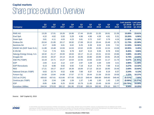### **Capital markets** Share price evolution: Overview

| <b>Company</b>                  | Q <sub>1</sub><br>2017 | Q2<br>2017 | Q <sub>3</sub><br>2017 | Q4<br>2017 | Q <sub>1</sub><br>2018 | Q2<br>2018 | Q3<br>2018 | Q <sub>4</sub><br>2018 | Q <sub>1</sub><br>2019 | Last quarter Last year<br>Q1 2019/<br>Q4 2018 | Q1 2019/<br>Q1 2018 |
|---------------------------------|------------------------|------------|------------------------|------------|------------------------|------------|------------|------------------------|------------------------|-----------------------------------------------|---------------------|
|                                 |                        |            |                        |            |                        |            |            |                        |                        | ▼                                             |                     |
| <b>RWE AG</b>                   | 13.28                  | 17.01      | 19.26                  | 19.98      | 17.44                  | 20.00      | 21.55      | 18.61                  | 21.56                  | 15.89%                                        | 23.61%              |
| <b>Enel SpA</b>                 | 4.10                   | 4.62       | 5.00                   | 5.29       | 4.96                   | 4.96       | 4.59       | 4.61                   | 5.31                   | 15.26%                                        | 6.96%               |
| Snam SpA                        | 3.81                   | 4.11       | 4.03                   | 4.23       | 3.81                   | 3.72       | 3.67       | 3.79                   | 4.24                   | 11.88%                                        | 11.28%              |
| Endesa SA                       | 20.04                  | 21.85      | 20.17                  | 18.92      | 17.69                  | 19.13      | 19.44      | 19.48                  | 21.76                  | 11.73%                                        | 22.98%              |
| <b>Iberdrola SA</b>             | 6.17                   | 6.89       | 6.81                   | 6.62       | 6.25                   | 6.39       | 6.53       | 6.55                   | 7.31                   | 11.53%                                        | 16.96%              |
| <b>ENGIE SA (GDF Suez S.A.)</b> | 11.88                  | 13.48      | 13.93                  | 14.53      | 13.52                  | 13.95      | 13.06      | 12.24                  | 13.58                  | 10.95%                                        | 0.45%               |
| <b>E.ON SE</b>                  | 7.14                   | 7.74       | 9.01                   | 9.79       | 8.67                   | 9.13       | 9.35       | 8.78                   | 9.52                   | 8.45%                                         | 9.86%               |
| Naturgy Energy Group, S.A       | 18.32                  | 21.17      | 20.00                  | 18.63      | 19.17                  | 21.14      | 23.31      | 22.53                  | 23.86                  | 5.88%                                         | 24.48%              |
| Enagás SA                       | 23.43                  | 25.37      | 24.14                  | 24.19      | 22.05                  | 23.80      | 23.99      | 23.91                  | 25.28                  | 5.73%                                         | 14.65%              |
| SSE Plc (*GBP)                  | 15.19                  | 14.71      | 14.27                  | 13.54      | 12.55                  | 13.56      | 12.64      | 11.17                  | 11.74                  | 5.07%                                         | (6.45%)             |
| <b>IEDP</b>                     | 2.84                   | 3.13       | 3.12                   | 2.97       | 2.87                   | 3.28       | 3.39       | 3.09                   | 3.21                   | 3.98%                                         | 11.88%              |
| <b>EDP Renováveis</b>           | 6.13                   | 6.98       | 6.92                   | 6.92       | 7.19                   | 8.14       | 8.74       | 7.89                   | 8.15                   | 3.27%                                         | 13.32%              |
| <b>REE</b>                      | 17.21                  | 19.17      | 18.47                  | 18.39      | 16.84                  | 17.13      | 18.10      | 18.95                  | 19.46                  | 2.69%                                         | 15.60%              |
| National Grid plc (*GBP)        | 9.63                   | 10.74      | 9.52                   | 8.98       | 7.89                   | 8.37       | 8.16       | 8.19                   | 8.37                   | 2.24%                                         | 6.13%               |
| <b>Fortum Ovi</b>               | 14.59                  | 13.84      | 14.88                  | 17.57      | 17.72                  | 19.44      | 21.59      | 19.33                  | 19.56                  | 1.22%                                         | 10.37%              |
| CEZ as (*CZK)                   | 435.62                 | 437.61     | 413.66                 | 477.50     | 510.22                 | 549.44     | 566.89     | 549.60                 | 548.46                 | $(0.21\%)$                                    | 7.50%               |
| Centrica plc (*GBP)             | 2.26                   | 2.04       | 1.98                   | 1.59       | 1.37                   | 1.48       | 1.50       | 1.43                   | 1.30                   | (9.58%)                                       | (5.27%)             |
| <b>EDF</b>                      | 8.85                   | 8.86       | 9.25                   | 10.93      | 10.79                  | 11.65      | 13.49      | 16.59                  | 13.47                  | (18.79%)                                      | 24.90%              |
| <b>Eurostoxx Utilities</b>      | 244.04                 | 273.03     | 282.12                 | 291.95     | 272.82                 | 283.24     | 282.83     | 276.10                 | 300.77                 | 8.94%                                         | 10.25%              |

Source: S&P Capital IQ, 2019

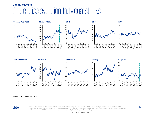#### **Capital markets** Share price evolution: Individual stocks





#### Source: S&P Capital IQ, 2019



© 2019 KPMG International Cooperative ("KPMG International"), a Swiss entity. Member firms of the KPMG network of independent firms are affiliated with KPMG<br>International. KPMG International provides no client services. No third parties, nor does KPMG International have any such authority to obligate or bind any member firm. All rights reserved.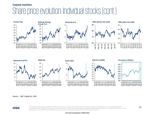#### **Capital markets** Share price evolution: Individual stocks (cont.)







#### Source: S&P Capital IQ, 2019



© 2019 KPMG International Cooperative ("KPMG International"), a Swiss entity. Member firms of the KPMG network of independent firms are affiliated with KPMG International. KPMG International provides no client services. No member firm has any authority to obligate or bind KPMG International or any other member firm vis-à-vis third parties, nor does KPMG International have any such authority to obligate or bind any member firm. All rights reserved.

**Document Classification: KPMG Public**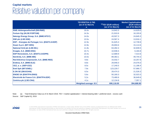### **Capital markets**  Relative valuation per company

|                                                      | <b>TEV/EBITDA (LTM)</b><br>(as of 31 March) | (a)TEV (EUR million)<br>(as of 31 March) | <b>Market Capitalization</b><br>(EUR million)<br>(as of 31 March) |
|------------------------------------------------------|---------------------------------------------|------------------------------------------|-------------------------------------------------------------------|
| <b>RWE Aktiengesellschaft (DB:RWE)</b>               | 16.6x                                       | 14,842.0                                 | 14,629.0                                                          |
| <b>Fortum Oyj (HLSE:FORTUM)</b>                      | 14.3x                                       | 21,910.6                                 | 16,193.6                                                          |
| Naturgy Energy Group, S.A. (BME:NTGY)                | 14.0x                                       | 43,507.3                                 | 24,845.3                                                          |
| <b>SSE plc (LSE:SSE)</b>                             | 13.5x                                       | 24,567.4                                 | 13,916.1                                                          |
| <b>EDP</b> - Energias de Portugal, S.A. (ENXTLS:EDP) | 12.9x                                       | 31,625.3                                 | 12,739.9                                                          |
| Snam S.p.A. (BIT:SRG)                                | 12.8x                                       | 26,694.6                                 | 15,114.6                                                          |
| <b>National Grid plc (LSE:NG.)</b>                   | 11.8x                                       | 63,282.4                                 | 32,839.5                                                          |
| Enagás, S.A. (BME:ENG)                               | 10.7x                                       | 10,936.5                                 | 6,184.8                                                           |
| <b>EDP Renováveis, S.A. (ENXTLS:EDPR)</b>            | 10.4x                                       | 12,689.9                                 | 7,414.6                                                           |
| Iberdrola, S.A. (BME:IBE)                            | 10.0x                                       | 89,363.1                                 | 49,744.3                                                          |
| Red Eléctrica Corporación, S.A. (BME:REE)            | 9.8x                                        | 15,032.7                                 | 10,257.8                                                          |
| Endesa, S.A. (BME:ELE)                               | 8.8x                                        | 29,946.0                                 | 24,076.0                                                          |
| CEZ, a. s. (SEP:CEZ)                                 | 8.5x                                        | 17,240.5                                 | 11,186.4                                                          |
| <b>Enel SpA (BIT:ENEL)</b>                           | 7.9x                                        | 123,229.7                                | 57,990.7                                                          |
| <b>E.ON SE (DB:EOAN)</b>                             | 6.5x                                        | 29,474.3                                 | 21,526.3                                                          |
| <b>ENGIE SA (ENXTPA:ENGI)</b>                        | 5.6x                                        | 50,160.3                                 | 32,023.3                                                          |
| Electricité de France S.A. (ENXTPA:EDF)              | 5.2x                                        | 73,480.6                                 | 36,649.6                                                          |
| Centrica plc (LSE:CNA)                               | 4.1x                                        | 12,134.8                                 | 7,357.1                                                           |
|                                                      | <b>Weighted average: 8.5</b>                | 690,118.00                               | 394,688.90                                                        |

Note: (a) Total Enterprise Value as of 31 March 2019, TEV = market capitalization + interest-bearing debt + preferred stock – excess cash Source: S&P Capital IQ, 2019

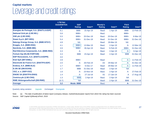### **Capital markets**  Leverage and credit ratings

|                                           | <b>LTM Net</b><br><b>Debt/EBITDA</b><br>$\blacktriangledown$ | <b>S&amp;P</b><br><b>Rating</b> | Date <sup>(a)</sup> | Moody's<br><b>Rating</b> | Date <sup>(a)</sup> | <b>Fitch</b><br><b>Rating</b> | Date(a)     |
|-------------------------------------------|--------------------------------------------------------------|---------------------------------|---------------------|--------------------------|---------------------|-------------------------------|-------------|
| Energias de Portugal, S.A. (ENXTLS:EDP)   | 6.1                                                          | BBB-                            | 15-Apr-19           | Baa3                     | $1-Apr-19$          | BBB-                          | 12-Feb-19   |
| <b>National Grid plc (LSE:NG.)</b>        | 5.6                                                          | BBB+                            |                     | Baa1                     |                     | BBB+                          |             |
| <b>SSE plc (LSE:SSE)</b>                  | 5.5                                                          | BBB+                            | 20-Dec-18           | Baa1                     | 20-Dec-18           | BBB+                          | $6$ -Mar-19 |
| Snam S.p.A. (BIT:SRG)                     | 5.4                                                          | BBB+                            | 31-Dec-18           | Baa2                     | 31-Dec-18           | BBB+                          | 31-Dec-18   |
| Naturgy Energy Group, S.A. (BME:NTGY)     | 4.8                                                          | <b>NA</b>                       |                     | Baa2                     | 29-Mar-19           | <b>NA</b>                     |             |
| Enagás, S.A. (BME:ENG)                    | 4.1                                                          | BBB+                            | 13-Mar-19           | Baa1                     | $2-Apr-19$          | $A -$                         | 12-Mar-19   |
| Iberdrola, S.A. (BME:IBE)                 | 3.9                                                          | BBB+                            | 30-Apr-19           | Baa1                     | 5-Feb-19            | BBB+                          | 31-Dec-18   |
| Red Eléctrica Corporación, S.A. (BME:REE) | 3.3                                                          | $A-$                            |                     | Baa1                     | $2-Apr-19$          | A- i                          | 8-Apr-19    |
| Fortum Oyj (HLSE:FORTUM)                  | 3.3                                                          | <b>BBB</b>                      | 23-Apr-19           | Baa2                     | $2-Apr-19$          | <b>BBB</b>                    | 31-Dec-18   |
| <b>EDP Renováveis, S.A. (ENXTLS:EDPR)</b> | 3.0                                                          |                                 |                     |                          |                     |                               |             |
| <b>Enel SpA (BIT:ENEL)</b>                | 2.8                                                          | BBB+                            |                     | Baa2                     |                     | $A-1$                         | 11-Feb-19   |
| Electricité de France S.A. (ENXTPA:EDF)   | 2.0                                                          | $A-$                            | 26-Feb-19           | A <sub>3</sub>           | 29-Mar-19           | A-                            | 31-Dec-18   |
| Endesa, S.A. (BME:ELE)                    | 1.7                                                          | BBB+                            | 6-Dec-17            | Baa2                     | 29-Mar-19           | A-                            | 11-Feb-19   |
| <b>E.ON SE (DB:EOAN)</b>                  | 1.7                                                          | <b>BBB</b>                      | 31-Dec-18           | Baa2                     | $2-Apr-19$          | <b>NA</b>                     |             |
| CEZ, a. s. (SEP:CEZ)                      | 1.6                                                          | $A-$                            | 23-Nov-18           | Baa1                     | $2-Apr-19$          | $A -$                         | 27-Feb-19   |
| <b>ENGIE SA (ENXTPA:ENGI)</b>             | 1.4                                                          | $A-$                            | 27-Jul-18           | A <sub>2</sub>           | $17 - Jan-19$       | A                             | 17-Aug-18   |
| Centrica plc (LSE:CNA)                    | 1.3                                                          | <b>BBB</b>                      | $2-Apr-19$          | Baa1                     | $2-Apr-19$          | <b>NA</b>                     |             |
| <b>RWE Aktiengesellschaft (DB:RWE)</b>    | (0.7)                                                        | <b>NA</b>                       |                     | Baa3                     | $2-Apr-19$          | <b>BBB</b>                    | 31-Dec-18   |
| <b>Average:</b>                           | 3.2                                                          | <b>Mode: BBB</b>                |                     | Baa1                     |                     | $A -$                         |             |

Quarterly rating variation: Upgrade Unchanged Downgrade

Note: (a) The date of publication of latest report (company release, market/industry/peer report) from which the rating has been sourced. Source: S&P Capital IQ/Moody's/Fitch, 2019

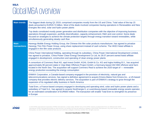### **M&A** Global M&A overview

| <b>Main trends</b>          | The biggest deals during Q1 2019, comprised companies mostly from the US and China. Total value of the top 15<br>deals amounted to EUR20.74 billion. Most of the deals involved companies having operations in Renewables and New<br>Energies like wind, solar and hydro power plants                                                                                                                        |
|-----------------------------|--------------------------------------------------------------------------------------------------------------------------------------------------------------------------------------------------------------------------------------------------------------------------------------------------------------------------------------------------------------------------------------------------------------|
|                             | Top deals constituted mostly power generation and distribution companies with the objective of improving business<br>operations through expansion, portfolio diversification, capacity enhancement, R&D and cost control. Some deals<br>focused on strategies to achieve the climate protection targets through energy transition toward renewables, while<br>simultaneously generating steady cash flow     |
| <b>Main</b><br>transactions | Hanergy Mobile Energy Holding Group, the Chinese thin film solar products manufacturer, has agreed to privatize<br>Hanergy Thin Film Power Group, using share replacement instead of cash scheme. The HKEX listed affiliate is<br>engaged in thin film solar products                                                                                                                                        |
|                             | China Power International Holding, operating through its subsidiary, China Power International Development Limited,<br>has agreed to privatize, China Power Clean Energy Development Co Ltd, its 28.07 percent owned listed affiliate<br>engaged in development, construction and operating of clean energy power plants                                                                                     |
|                             | A consortium of Commerz Real AG, wpd invest GmbH, KGAL GmbH & Co. KG and Ingka Holding B.V., has acquired<br>approximately 80 percent stake in Veja Mate Offshore Project GmbH, a Germany-based 402 MW offshore wind farm<br>located in the North Sea. The acquisition will support Commerz Real to achieve the 2020 target of - renewable<br>energy production exceeding the energy consumption             |
|                             | ENMAX Corporation, a Canada-based company engaged in the provision of electricity, natural gas and<br>telecommunications services, has signed a definitive agreement to acquire Emera Maine from Emera Inc., a US-based<br>company that provides electric delivery services. The acquisition is part of ENMAX's strategy to grow through the<br>expansion of its regulated utility business in North America |
|                             | Total Eren, a France-based company engaged in developing and operating wind, solar and hydro power plants and a<br>subsidiary of Total S.A., has agreed to acquire NovEnergia II, a Luxembourg-based renewable energy assets operator,<br>for an estimated consideration of EUR600 million. The transaction will enable Total Eren to strengthen its presence<br>in Europe                                   |

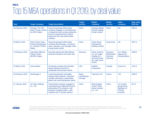### **M&A** Top 15 M&A operations in Q1 2019, by deal value

| <b>Date</b>      | <b>Target company</b>                                                                  | <b>Target description</b>                                                                                                                                                                      | <b>Target</b><br>country          | <b>Bidder</b><br>company                                                                                  | <b>Bidder</b><br>country                             | <b>Seller</b><br>company                                                    | <b>Deal value</b><br>EUR(m) |
|------------------|----------------------------------------------------------------------------------------|------------------------------------------------------------------------------------------------------------------------------------------------------------------------------------------------|-----------------------------------|-----------------------------------------------------------------------------------------------------------|------------------------------------------------------|-----------------------------------------------------------------------------|-----------------------------|
| 26 February 2019 | <b>Hanergy Thin Film</b><br><b>Power Group Limited</b><br>(32.49% Stake)               | Hong Kong-based HKEx-listed<br>company engaged in manufacturing<br>of equipment and turnkey production<br>lines for manufacturing of silicon-<br>based thin film solar photovoltaic<br>modules | China                             | <b>Hanergy Mobile</b><br><b>Energy Holding</b><br><b>Group Limited</b>                                    | China                                                | <b>NA</b>                                                                   | 6000.0                      |
| 03 March 2019    | <b>China Power Clean</b><br><b>Energy Development</b><br>Co. Limited (73.58%<br>Stake) | Hong Kong-based HKEx-listed<br>company that develops, constructs,<br>owns, operates, and manages clean<br>energy power plants                                                                  | China                             | <b>China Power</b><br>International<br><b>Holding Limited</b>                                             | <b>Hong Kong</b>                                     | <b>NA</b>                                                                   | 2547.0                      |
| 13 February 2019 | Veja Mate Offshore<br><b>Project GmbH</b><br>(80.00% Stake)                            | Germany-based 402 MW offshore<br>wind farm located in the North Sea                                                                                                                            | Germany                           | <b>KGAL GmbH &amp;</b><br>Co. KG; Ingka<br>Holding B.V.;<br><b>Commerz Real</b><br>AG; wpd invest<br>GmbH | Germany;<br><b>Netherlands</b><br>Germany<br>Germany | A.P. Moller-<br>Maersk A/S<br>(Shareholders)                                | 2300.0                      |
| 25 March 2019    | <b>Emera Maine</b>                                                                     | US-based company that provides<br>electric delivery services to<br>residential and business clients                                                                                            | <b>USA</b>                        | <b>ENMAX</b><br>Corporation                                                                               | Canada                                               | Emera Inc.                                                                  | 1151.0                      |
| 26 February 2019 | NovEnergia II                                                                          | Luxembourg-based renewable<br>energy assets operator, operation<br>includes wind farms, photovoltaic<br>plants and small hydropower plants                                                     | Spain,<br>Luxembourg,<br>Portugal | <b>Total Eren SA</b>                                                                                      | France                                               | <b>NA</b>                                                                   | 1000.0                      |
| 21 January 2019  | <b>JA Solar Holdings</b><br>Co., Ltd.                                                  | China-based company engaged in<br>manufacturing of high-performance<br>photovoltaic (PV) products, with<br>business including wafers, cells,<br>modules and PV power stations                  | China                             | Qinhuangdao<br><b>Tianye Tolian</b><br><b>Heavy Industry</b><br>Co., Ltd.                                 | China                                                | An investor<br>group led by<br><b>Baofang Jin</b><br>(Private)<br>investor) | 971.0                       |

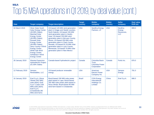### **M&A** Top 15 M&A operations in Q1 2019, by deal value (cont.)

| <b>Date</b>            | <b>Target company</b>                                                                                                                                                                                                                                                                                                                                                           | <b>Target description</b>                                                                                                                                                                                                                                                                                                                                                                                                            | <b>Target</b><br>country | <b>Bidder</b><br>company                                                | <b>Bidder</b><br>country | <b>Seller</b><br>company                             | <b>Deal value</b><br>EUR(m) |
|------------------------|---------------------------------------------------------------------------------------------------------------------------------------------------------------------------------------------------------------------------------------------------------------------------------------------------------------------------------------------------------------------------------|--------------------------------------------------------------------------------------------------------------------------------------------------------------------------------------------------------------------------------------------------------------------------------------------------------------------------------------------------------------------------------------------------------------------------------------|--------------------------|-------------------------------------------------------------------------|--------------------------|------------------------------------------------------|-----------------------------|
| 04 March 2019          | <b>Silver State South</b><br><b>Solar Energy Center</b><br>(49.99% Stake);<br><b>Marshall Solar</b><br><b>Energy Center</b><br>(49.99% Stake);<br><b>Roswell Solar</b><br><b>Energy Center</b><br>(49.99% Stake);<br><b>Story County II Wind</b><br><b>Energy Center:</b><br><b>White Oak Wind</b><br><b>Energy Center;</b><br><b>Ashtabula II Wind</b><br><b>Energy Center</b> | US-based 120-MW wind generation<br>plant in Griggs and Steele counties,<br>North Dakota; US-based 150-MW<br>wind generation plant in Hardin,<br>Iowa; US-based 150-MW wind<br>generation plant in McLean County,<br>Illinois; US-based 250-MW solar<br>generation plant in Clark County,<br>Nevada: US-based 62.25-MW solar<br>generation plant in Lyon County,<br>Minnesota; US-based 70-MW solar<br>generation plant in New Mexico | <b>USA</b>               | <b>NextEra Energy</b><br>Partners, LP                                   | <b>USA</b>               | <b>NextEra</b><br>Energy<br>Resources,<br><b>LLC</b> | 899.0                       |
| <b>28 January 2019</b> | <b>Waneta Expansion</b><br><b>Hydroelectric Project</b><br>(51.00% Stake)                                                                                                                                                                                                                                                                                                       | Canada-based hydroelectric project                                                                                                                                                                                                                                                                                                                                                                                                   | Canada                   | <b>Columbia Basin</b><br>Trust:<br><b>Columbia Power</b><br>Corporation | Canada                   | Fortis Inc.                                          | 876.0                       |
| 12 February 2019       | Sempra<br>Renewables, LLC                                                                                                                                                                                                                                                                                                                                                       | US-based producer renewable<br>energy                                                                                                                                                                                                                                                                                                                                                                                                | <b>USA</b>               | American<br><b>Electric Power</b><br>Company Inc.                       | <b>USA</b>               | Sempra<br>Energy                                     | 791.0                       |
| <b>16 January 2019</b> | Enel S.p.A. (Nova<br><b>Olinda (292 MW)</b><br>solar plant); Enel<br>S.p.A. (Lapa (158)<br>MW) solar plant);<br>Enel S.p.A.<br>(Cristalandia (90<br>MW) wind farm)                                                                                                                                                                                                              | Brazil-based 158 MW solar power<br>plant based in Lapa; Brazil-based<br>292 MW solar power plant based in<br>Nova Olinda; Brazil-based 90 MW<br>wind farm based in Cristalandia                                                                                                                                                                                                                                                      | <b>Brazil</b>            | <b>CGN Energy</b><br>International<br>Holdings Co.<br>Limited           | China                    | Enel S.p.A.                                          | 686.0                       |

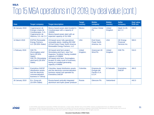### **M&A** Top 15 M&A operations in Q1 2019, by deal value (cont.)

| <b>Date</b>            | <b>Target company</b>                                                                                                         | <b>Target description</b>                                                                                                                                                                                                                                      | <b>Target</b><br>country  | <b>Bidder</b><br>company                                 | <b>Bidder</b><br>country | <b>Seller</b><br>company                       | <b>Deal value</b><br>EUR(m) |
|------------------------|-------------------------------------------------------------------------------------------------------------------------------|----------------------------------------------------------------------------------------------------------------------------------------------------------------------------------------------------------------------------------------------------------------|---------------------------|----------------------------------------------------------|--------------------------|------------------------------------------------|-----------------------------|
| 06 January 2019        | Cogeneracion de<br>Energia Limpia de<br>Cosoleacaque, S.A.;<br>Cogeneracion de<br>Altamira, S.A. de C.V                       | Mexico-based power plant located in<br>Cosoleacaque with a capacity of<br>104MW;<br>Mexico-based power plant with an<br>expected capacity of 414 MW                                                                                                            | <b>Mexico</b>             | <b>Contour Global</b><br>Plc                             | <b>United</b><br>Kingdom | Alpek S.A.B.<br>de C.V.                        | 636.0                       |
| 14 March 2019          | <b>FGPNA Renewable</b><br><b>Energy Partners,</b><br>LLC (50.00% Stake)                                                       | US-based seven fully operational<br>renewable plants, totalling 650 MW<br>of Enel Green Power North America<br>Renewable Energy Partners, LLC                                                                                                                  | <b>USA</b>                | <b>Enel Green</b><br><b>Power North</b><br>America, Inc. | <b>USA</b>               | <b>GE Energy</b><br>Financial<br>Services Inc. | 569.0                       |
| 1 February 2019        | <b>SSE Plc</b><br>(Dunmaglass wind<br>farm) (35.50%<br>Stake);<br><b>SSE Plc (Stronelairg</b><br>wind farm) (35.50%<br>Stake) | UK-based wind farm project:<br>Stronelairg wind farm, near Fort<br>Augustus, Scotland, having installed<br>capacity of 228MW<br>UK-based wind farm: Dunmaglass,<br>located 15 miles south of Inverness,<br>having an installed generating<br>capacity of 94MW. | <b>United</b><br>Kingdom; | <b>Greencoat UK</b><br><b>Wind Plc</b>                   | United<br>Kingdom        | <b>SSE Plc</b>                                 | 516.0                       |
| 8 March 2019           | <b>Enertolima SAESP</b><br>(distribution assets)<br>and the electricity<br>commercialization<br>business in Tolima)           | Columbia- based distribution assets<br>and the electricity commercialization<br>business owned and operated by<br>Enertolima SAESP                                                                                                                             | Colombia                  | Empresa de<br>Energia del<br>Pacifico S.A.<br>E.S.P.     | <b>El Salvador</b>       | Enertolima<br><b>SAESP</b>                     | 484.0                       |
| <b>28 January 2019</b> | En+ Group plc<br>(10.55% Stake)                                                                                               | Russia-based vertically integrated<br>aluminium and hydro power producer                                                                                                                                                                                       | Russia                    | <b>Glencore Plc</b>                                      | Switzerland              |                                                | 442.0                       |

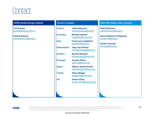## **Contact**

#### **KPMG Global Energy Institute**

**Ted Surette** [tsurette@kpmg.com.au](mailto:tsurette@kpmg.com.au)

**Valerie Besson** [valeriebesson@kpmg.fr](mailto:valeriebesson@kpmg.fr)

#### **Country contacts**

| <b>France</b>      | <b>Valerie Besson</b><br>valeriebesson@kpmg.fr         |
|--------------------|--------------------------------------------------------|
| Germany            | <b>Michael Salcher</b><br>msalcher@kpmg.com            |
| <b>Italy</b>       | <b>Francesco Galgliardi</b><br>fgagliardi@kpmg.it      |
| <b>Netherlands</b> | <b>Jaap Van Roekel</b><br>vanroekel.jaap@kpmg.nl       |
| <b>Nordics</b>     | <b>Morten Mønster</b><br>mmoenster@kpmg.com            |
| <b>Portugal</b>    | Susana Abreu<br>sabreu@kpmg.com                        |
| <b>Spain</b>       | <b>Alberto Martin Rivals</b><br>albertomartin1@kpmg.es |
| <b>Turkey</b>      | <b>Altay Alpagut</b><br>aalpagut@kpmg.com              |
| UK                 | <b>Simon Virley</b><br>simon.virley@kpmg.co.uk         |
|                    |                                                        |
|                    |                                                        |

#### **ENR EMA Report main contacts**

**Valérie Besson** [valeriebesson@kpmg.fr](mailto:valeriebesson@kpmg.fr)

**Alexis Majnoni d'Intignano** [amajnoni@kpmg.fr](mailto:amajnoni@kpmg.fr)

**Cécilie Timestit** [ctimestit@kpmg.fr](mailto:ctimestit@kpmg.fr)